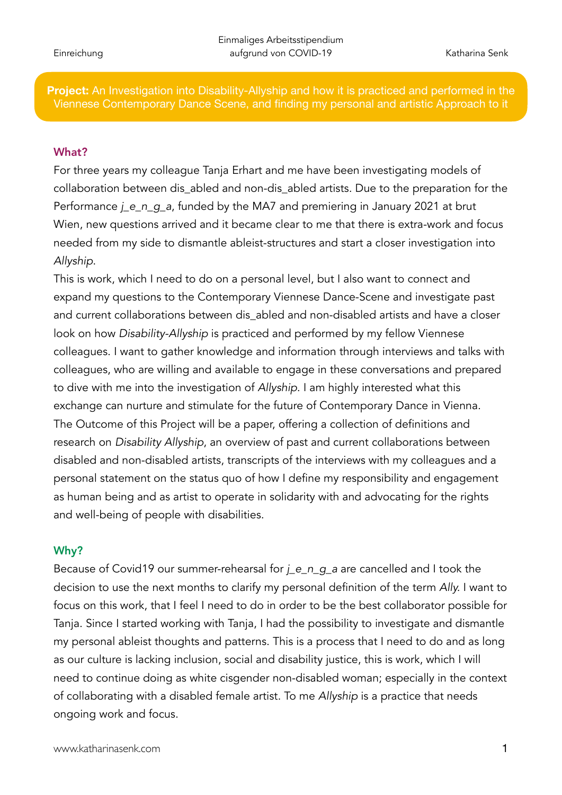**Project:** An Investigation into Disability-Allyship and how it is practiced and performed in the Viennese Contemporary Dance Scene, and finding my personal and artistic Approach to it

## What?

For three years my colleague Tanja Erhart and me have been investigating models of collaboration between dis\_abled and non-dis\_abled artists. Due to the preparation for the Performance *j\_e\_n\_g\_a*, funded by the MA7 and premiering in January 2021 at brut Wien, new questions arrived and it became clear to me that there is extra-work and focus needed from my side to dismantle ableist-structures and start a closer investigation into *Allyship*.

This is work, which I need to do on a personal level, but I also want to connect and expand my questions to the Contemporary Viennese Dance-Scene and investigate past and current collaborations between dis abled and non-disabled artists and have a closer look on how *Disability-Allyship* is practiced and performed by my fellow Viennese colleagues. I want to gather knowledge and information through interviews and talks with colleagues, who are willing and available to engage in these conversations and prepared to dive with me into the investigation of *Allyship*. I am highly interested what this exchange can nurture and stimulate for the future of Contemporary Dance in Vienna. The Outcome of this Project will be a paper, offering a collection of definitions and research on *Disability Allyship*, an overview of past and current collaborations between disabled and non-disabled artists, transcripts of the interviews with my colleagues and a personal statement on the status quo of how I define my responsibility and engagement as human being and as artist to operate in solidarity with and advocating for the rights and well-being of people with disabilities.

## Why?

Because of Covid19 our summer-rehearsal for *j\_e\_n\_g\_a* are cancelled and I took the decision to use the next months to clarify my personal definition of the term *Ally.* I want to focus on this work, that I feel I need to do in order to be the best collaborator possible for Tanja. Since I started working with Tanja, I had the possibility to investigate and dismantle my personal ableist thoughts and patterns. This is a process that I need to do and as long as our culture is lacking inclusion, social and disability justice, this is work, which I will need to continue doing as white cisgender non-disabled woman; especially in the context of collaborating with a disabled female artist. To me *Allyship* is a practice that needs ongoing work and focus.